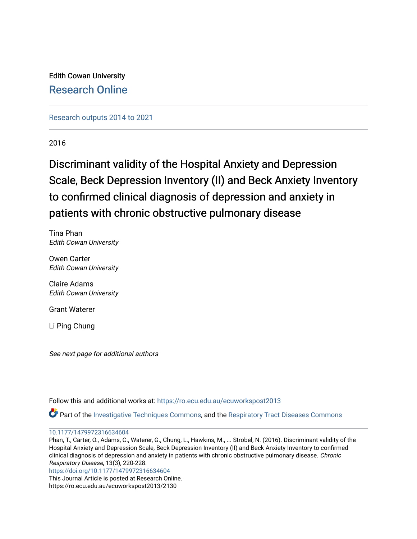Edith Cowan University [Research Online](https://ro.ecu.edu.au/) 

[Research outputs 2014 to 2021](https://ro.ecu.edu.au/ecuworkspost2013) 

2016

# Discriminant validity of the Hospital Anxiety and Depression Scale, Beck Depression Inventory (II) and Beck Anxiety Inventory to confirmed clinical diagnosis of depression and anxiety in patients with chronic obstructive pulmonary disease

Tina Phan Edith Cowan University

Owen Carter Edith Cowan University

Claire Adams Edith Cowan University

Grant Waterer

Li Ping Chung

See next page for additional authors

Follow this and additional works at: [https://ro.ecu.edu.au/ecuworkspost2013](https://ro.ecu.edu.au/ecuworkspost2013?utm_source=ro.ecu.edu.au%2Fecuworkspost2013%2F2130&utm_medium=PDF&utm_campaign=PDFCoverPages) 

Part of the [Investigative Techniques Commons](https://network.bepress.com/hgg/discipline/922?utm_source=ro.ecu.edu.au%2Fecuworkspost2013%2F2130&utm_medium=PDF&utm_campaign=PDFCoverPages), and the [Respiratory Tract Diseases Commons](https://network.bepress.com/hgg/discipline/990?utm_source=ro.ecu.edu.au%2Fecuworkspost2013%2F2130&utm_medium=PDF&utm_campaign=PDFCoverPages) 

## [10.1177/1479972316634604](http://dx.doi.org/10.1177/1479972316634604)

Phan, T., Carter, O., Adams, C., Waterer, G., Chung, L., Hawkins, M., ... Strobel, N. (2016). Discriminant validity of the Hospital Anxiety and Depression Scale, Beck Depression Inventory (II) and Beck Anxiety Inventory to confirmed clinical diagnosis of depression and anxiety in patients with chronic obstructive pulmonary disease. Chronic Respiratory Disease, 13(3), 220-228.

[https://doi.org/10.1177/1479972316634604](https://doi.org/10.1177%2F1479972316634604) 

This Journal Article is posted at Research Online. https://ro.ecu.edu.au/ecuworkspost2013/2130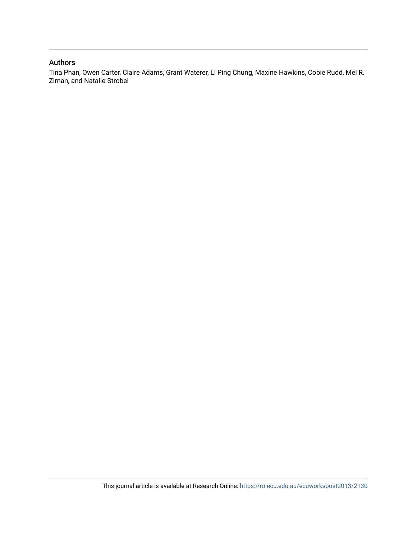# Authors

Tina Phan, Owen Carter, Claire Adams, Grant Waterer, Li Ping Chung, Maxine Hawkins, Cobie Rudd, Mel R. Ziman, and Natalie Strobel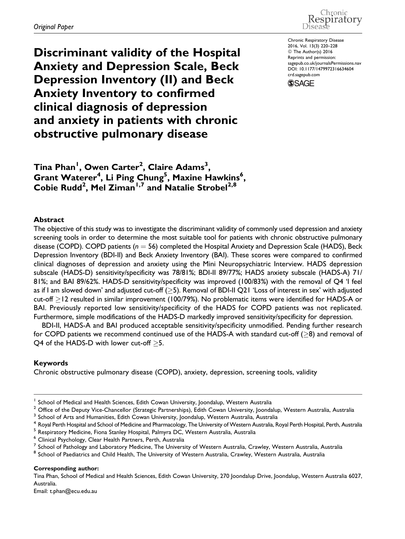Chronic Respiratory Disease

Discriminant validity of the Hospital Anxiety and Depression Scale, Beck Depression Inventory (II) and Beck Anxiety Inventory to confirmed clinical diagnosis of depression and anxiety in patients with chronic obstructive pulmonary disease

Chronic Respiratory Disease 2016, Vol. 13(3) 220–228 © The Author(s) 2016 Reprints and permission: [sagepub.co.uk/journalsPermissions.nav](http://www.sagepub.co.uk/journalsPermissions.nav) DOI: 10.1177/1479972316634604 [crd.sagepub.com](http://crd.sagepub.com)**SSAGE** 

 $\mathsf{Tina}\ \mathsf{Phan}^{\mathsf{I}}, \ \mathsf{Owen}\ \mathsf{Carter}^{\mathsf{2}}, \ \mathsf{Claire}\ \mathsf{Adams}^{\mathsf{3}},$  $\mathsf{G}\mathsf{rant}\ \mathsf{Water}\mathsf{er}^4\!, \mathsf{Li}\ \mathsf{Ping}\ \mathsf{Chung}^5\!, \mathsf{Maxine}\ \mathsf{Hawkins}^6\!,$ Cobie Rudd<sup>2</sup>, Mel Ziman<sup>1,7</sup> and Natalie Strobel<sup>2,8</sup>

#### Abstract

The objective of this study was to investigate the discriminant validity of commonly used depression and anxiety screening tools in order to determine the most suitable tool for patients with chronic obstructive pulmonary disease (COPD). COPD patients ( $n = 56$ ) completed the Hospital Anxiety and Depression Scale (HADS), Beck Depression Inventory (BDI-II) and Beck Anxiety Inventory (BAI). These scores were compared to confirmed clinical diagnoses of depression and anxiety using the Mini Neuropsychiatric Interview. HADS depression subscale (HADS-D) sensitivity/specificity was 78/81%; BDI-II 89/77%; HADS anxiety subscale (HADS-A) 71/ 81%; and BAI 89/62%. HADS-D sensitivity/specificity was improved (100/83%) with the removal of Q4 'I feel as if I am slowed down' and adjusted cut-off ( $\geq$ 5). Removal of BDI-II Q21 'Loss of interest in sex' with adjusted cut-off  $\ge$  12 resulted in similar improvement (100/79%). No problematic items were identified for HADS-A or BAI. Previously reported low sensitivity/specificity of the HADS for COPD patients was not replicated. Furthermore, simple modifications of the HADS-D markedly improved sensitivity/specificity for depression.

BDI-II, HADS-A and BAI produced acceptable sensitivity/specificity unmodified. Pending further research for COPD patients we recommend continued use of the HADS-A with standard cut-off ( $\geq$ 8) and removal of Q4 of the HADS-D with lower cut-off  $\geq$ 5.

## Keywords

Chronic obstructive pulmonary disease (COPD), anxiety, depression, screening tools, validity

Corresponding author:

Tina Phan, School of Medical and Health Sciences, Edith Cowan University, 270 Joondalup Drive, Joondalup, Western Australia 6027, Australia.

Email: t.phan@ecu.edu.au

School of Medical and Health Sciences, Edith Cowan University, Joondalup, Western Australia

 $2$  Office of the Deputy Vice-Chancellor (Strategic Partnerships), Edith Cowan University, Joondalup, Western Australia, Australia <sup>3</sup> School of Arts and Humanities, Edith Cowan University, Joondalup, Western Australia, Australia

 $^4$  Royal Perth Hospital and School of Medicine and Pharmacology, The University of Western Australia, Royal Perth Hospital, Perth, Australia<br><sup>5</sup> Respiratory Medicine, Fiona Stanley Hospital, Palmyra DC, Western Australi

<sup>6</sup> Clinical Psychology, Clear Health Partners, Perth, Australia

 $^7$  School of Pathology and Laboratory Medicine, The University of Western Australia, Crawley, Western Australia, Australia

<sup>&</sup>lt;sup>8</sup> School of Paediatrics and Child Health, The University of Western Australia, Crawley, Western Australia, Australia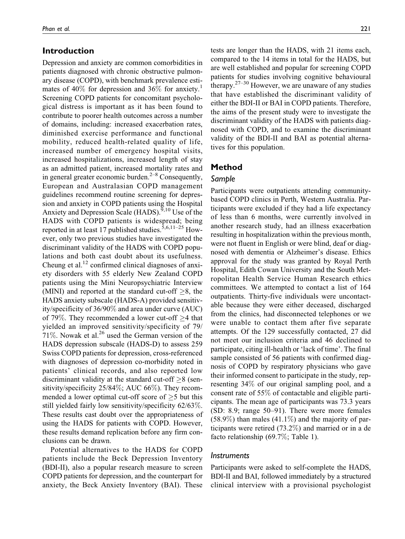# Introduction

Depression and anxiety are common comorbidities in patients diagnosed with chronic obstructive pulmonary disease (COPD), with benchmark prevalence estimates of  $40\%$  for depression and  $36\%$  for anxiety.<sup>1</sup> Screening COPD patients for concomitant psychological distress is important as it has been found to contribute to poorer health outcomes across a number of domains, including: increased exacerbation rates, diminished exercise performance and functional mobility, reduced health-related quality of life, increased number of emergency hospital visits, increased hospitalizations, increased length of stay as an admitted patient, increased mortality rates and in general greater economic burden. $2^{-8}$  Consequently, European and Australasian COPD management guidelines recommend routine screening for depression and anxiety in COPD patients using the Hospital Anxiety and Depression Scale (HADS).<sup>9,10</sup> Use of the HADS with COPD patients is widespread; being reported in at least 17 published studies.<sup>5,6,11–25</sup> However, only two previous studies have investigated the discriminant validity of the HADS with COPD populations and both cast doubt about its usefulness. Cheung et al. $^{12}$  confirmed clinical diagnoses of anxiety disorders with 55 elderly New Zealand COPD patients using the Mini Neuropsychiatric Interview (MINI) and reported at the standard cut-off  $\geq 8$ , the HADS anxiety subscale (HADS-A) provided sensitivity/specificity of 36/90% and area under curve (AUC) of 79%. They recommended a lower cut-off  $\geq$ 4 that yielded an improved sensitivity/specificity of 79/ 71%. Nowak et al. $^{26}$  used the German version of the HADS depression subscale (HADS-D) to assess 259 Swiss COPD patients for depression, cross-referenced with diagnoses of depression co-morbidity noted in patients' clinical records, and also reported low discriminant validity at the standard cut-off  $\geq 8$  (sensitivity/specificity 25/84%; AUC 66%). They recommended a lower optimal cut-off score of  $\geq$ 5 but this still yielded fairly low sensitivity/specificity 62/63%. These results cast doubt over the appropriateness of using the HADS for patients with COPD. However, these results demand replication before any firm conclusions can be drawn.

Potential alternatives to the HADS for COPD patients include the Beck Depression Inventory (BDI-II), also a popular research measure to screen COPD patients for depression, and the counterpart for anxiety, the Beck Anxiety Inventory (BAI). These

tests are longer than the HADS, with 21 items each, compared to the 14 items in total for the HADS, but are well established and popular for screening COPD patients for studies involving cognitive behavioural therapy.<sup>27–30</sup> However, we are unaware of any studies that have established the discriminant validity of either the BDI-II or BAI in COPD patients. Therefore, the aims of the present study were to investigate the discriminant validity of the HADS with patients diagnosed with COPD, and to examine the discriminant validity of the BDI-II and BAI as potential alternatives for this population.

## Method

## Sample

Participants were outpatients attending communitybased COPD clinics in Perth, Western Australia. Participants were excluded if they had a life expectancy of less than 6 months, were currently involved in another research study, had an illness exacerbation resulting in hospitalization within the previous month, were not fluent in English or were blind, deaf or diagnosed with dementia or Alzheimer's disease. Ethics approval for the study was granted by Royal Perth Hospital, Edith Cowan University and the South Metropolitan Health Service Human Research ethics committees. We attempted to contact a list of 164 outpatients. Thirty-five individuals were uncontactable because they were either deceased, discharged from the clinics, had disconnected telephones or we were unable to contact them after five separate attempts. Of the 129 successfully contacted, 27 did not meet our inclusion criteria and 46 declined to participate, citing ill-health or 'lack of time'. The final sample consisted of 56 patients with confirmed diagnosis of COPD by respiratory physicians who gave their informed consent to participate in the study, representing 34% of our original sampling pool, and a consent rate of 55% of contactable and eligible participants. The mean age of participants was 73.3 years (SD: 8.9; range 50–91). There were more females  $(58.9\%)$  than males  $(41.1\%)$  and the majority of participants were retired (73.2%) and married or in a de facto relationship (69.7%; Table 1).

#### **Instruments**

Participants were asked to self-complete the HADS, BDI-II and BAI, followed immediately by a structured clinical interview with a provisional psychologist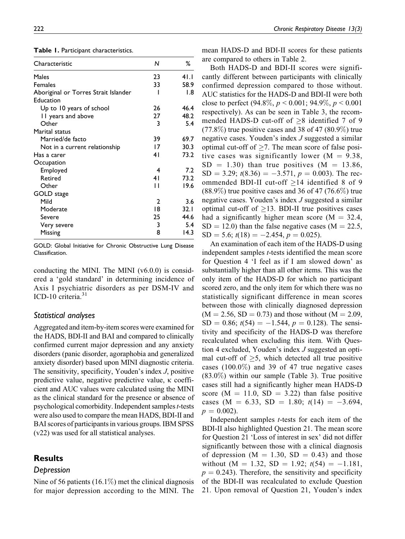| Characteristic                       | N              | ℅    |
|--------------------------------------|----------------|------|
| Males                                | 23             | 41.I |
| <b>Females</b>                       | 33             | 58.9 |
| Aboriginal or Torres Strait Islander | ı              | 1.8  |
| Education                            |                |      |
| Up to 10 years of school             | 26             | 46.4 |
| 11 years and above                   | 27             | 48.2 |
| Other                                | 3              | 5.4  |
| Marital status                       |                |      |
| Married/de facto                     | 39             | 69.7 |
| Not in a current relationship        | 17             | 30.3 |
| Has a carer                          | 4 <sub>1</sub> | 73.2 |
| Occupation                           |                |      |
| Employed                             | 4              | 7.2  |
| Retired                              | 41             | 73.2 |
| Other                                | П              | 19.6 |
| GOLD stage                           |                |      |
| Mild                                 | 2              | 3.6  |
| Moderate                             | 18             | 32.1 |
| Severe                               | 25             | 44.6 |
| Very severe                          | 3              | 5.4  |
| Missing                              | 8              | 14.3 |

Table 1. Participant characteristics.

GOLD: Global Initiative for Chronic Obstructive Lung Disease Classification.

conducting the MINI. The MINI  $(v6.0.0)$  is considered a 'gold standard' in determining incidence of Axis I psychiatric disorders as per DSM-IV and ICD-10 criteria. $31$ 

## Statistical analyses

Aggregated and item-by-item scores were examined for the HADS, BDI-II and BAI and compared to clinically confirmed current major depression and any anxiety disorders (panic disorder, agoraphobia and generalized anxiety disorder) based upon MINI diagnostic criteria. The sensitivity, specificity, Youden's index J, positive predictive value, negative predictive value,  $\kappa$  coefficient and AUC values were calculated using the MINI as the clinical standard for the presence or absence of psychological comorbidity. Independent samples *t*-tests were also used to compare the mean HADS, BDI-II and BAI scores of participants in various groups. IBM SPSS (v22) was used for all statistical analyses.

## **Results**

#### Depression

Nine of 56 patients  $(16.1\%)$  met the clinical diagnosis for major depression according to the MINI. The mean HADS-D and BDI-II scores for these patients are compared to others in Table 2.

Both HADS-D and BDI-II scores were significantly different between participants with clinically confirmed depression compared to those without. AUC statistics for the HADS-D and BDI-II were both close to perfect (94.8%,  $p < 0.001$ ; 94.9%,  $p < 0.001$ respectively). As can be seen in Table 3, the recommended HADS-D cut-off of  $\geq 8$  identified 7 of 9  $(77.8\%)$  true positive cases and 38 of 47  $(80.9\%)$  true negative cases. Youden's index J suggested a similar optimal cut-off of  $\geq$ 7. The mean score of false positive cases was significantly lower ( $M = 9.38$ ,  $SD = 1.30$ ) than true positives (M = 13.86,  $SD = 3.29$ ;  $t(8.36) = -3.571$ ,  $p = 0.003$ ). The recommended BDI-II cut-off  $\geq$ 14 identified 8 of 9  $(88.9\%)$  true positive cases and 36 of 47 (76.6%) true negative cases. Youden's index J suggested a similar optimal cut-off of  $\geq$ 13. BDI-II true positives cases had a significantly higher mean score ( $M = 32.4$ ,  $SD = 12.0$ ) than the false negative cases (M = 22.5,  $SD = 5.6$ ;  $t(18) = -2.454$ ,  $p = 0.025$ ).

An examination of each item of the HADS-D using independent samples t-tests identified the mean score for Question 4 'I feel as if I am slowed down' as substantially higher than all other items. This was the only item of the HADS-D for which no participant scored zero, and the only item for which there was no statistically significant difference in mean scores between those with clinically diagnosed depression  $(M = 2.56, SD = 0.73)$  and those without  $(M = 2.09,$  $SD = 0.86$ ;  $t(54) = -1.544$ ,  $p = 0.128$ ). The sensitivity and specificity of the HADS-D was therefore recalculated when excluding this item. With Question 4 excluded, Youden's index J suggested an optimal cut-off of  $\geq$ 5, which detected all true positive cases  $(100.0\%)$  and 39 of 47 true negative cases  $(83.0\%)$  within our sample (Table 3). True positive cases still had a significantly higher mean HADS-D score ( $M = 11.0$ ,  $SD = 3.22$ ) than false positive cases (M = 6.33, SD = 1.80;  $t(14) = -3.694$ ,  $p = 0.002$ ).

Independent samples t-tests for each item of the BDI-II also highlighted Question 21. The mean score for Question 21 'Loss of interest in sex' did not differ significantly between those with a clinical diagnosis of depression ( $M = 1.30$ ,  $SD = 0.43$ ) and those without (M = 1.32, SD = 1.92;  $t(54) = -1.181$ ,  $p = 0.243$ ). Therefore, the sensitivity and specificity of the BDI-II was recalculated to exclude Question 21. Upon removal of Question 21, Youden's index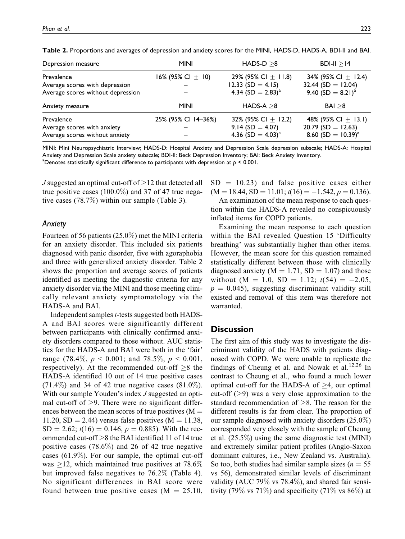| Depression measure                | <b>MINI</b>           | $HADS-D > 8$            | $BDI-II > 14$                   |
|-----------------------------------|-----------------------|-------------------------|---------------------------------|
| Prevalence                        | 16% (95% CI $\pm$ 10) | 29% (95% CI $\pm$ 11.8) | 34% (95% CI $\pm$ 12.4)         |
| Average scores with depression    |                       | 12.33 $(SD = 4.15)$     | 32.44 (SD = $12.04$ )           |
| Average scores without depression |                       | 4.34 $(SD = 2.83)^{a}$  | 9.40 $(SD = 8.21)^a$            |
| Anxiety measure                   | <b>MINI</b>           | $HADS-A > 8$            | BAI > 8                         |
| Prevalence                        | 25% (95% CI 14-36%)   | 32% (95% CI $\pm$ 12.2) | 48% (95% CI $\pm$ 13.1)         |
| Average scores with anxiety       |                       | $9.14$ (SD = 4.07)      | $20.79$ (SD = 12.63)            |
| Average scores without anxiety    |                       | 4.36 $(SD = 4.03)^{a}$  | 8.60 (SD = $10.39$ <sup>a</sup> |

Table 2. Proportions and averages of depression and anxiety scores for the MINI, HADS-D, HADS-A, BDI-II and BAI.

MINI: Mini Neuropsychiatric Interview; HADS-D: Hospital Anxiety and Depression Scale depression subscale; HADS-A: Hospital Anxiety and Depression Scale anxiety subscale; BDI-II: Beck Depression Inventory; BAI: Beck Anxiety Inventory. <sup>a</sup>Denotes statistically significant difference to participants with depression at  $p < 0.001$ .

 $J$  suggested an optimal cut-off of  $\geq$  12 that detected all true positive cases  $(100.0\%)$  and 37 of 47 true negative cases (78.7%) within our sample (Table 3).

#### Anxiety

Fourteen of 56 patients (25.0%) met the MINI criteria for an anxiety disorder. This included six patients diagnosed with panic disorder, five with agoraphobia and three with generalized anxiety disorder. Table 2 shows the proportion and average scores of patients identified as meeting the diagnostic criteria for any anxiety disorder via the MINI and those meeting clinically relevant anxiety symptomatology via the HADS-A and BAI.

Independent samples t-tests suggested both HADS-A and BAI scores were significantly different between participants with clinically confirmed anxiety disorders compared to those without. AUC statistics for the HADS-A and BAI were both in the 'fair' range (78.4%,  $p < 0.001$ ; and 78.5%,  $p < 0.001$ , respectively). At the recommended cut-off  $\geq 8$  the HADS-A identified 10 out of 14 true positive cases  $(71.4\%)$  and 34 of 42 true negative cases  $(81.0\%).$ With our sample Youden's index *J* suggested an optimal cut-off of  $\geq$ 9. There were no significant differences between the mean scores of true positives  $(M =$ 11.20, SD = 2.44) versus false positives ( $M = 11.38$ ,  $SD = 2.62$ ;  $t(16) = 0.146$ ,  $p = 0.885$ ). With the recommended cut-off  $\geq$ 8 the BAI identified 11 of 14 true positive cases (78.6%) and 26 of 42 true negative cases (61.9%). For our sample, the optimal cut-off was  $\geq$ 12, which maintained true positives at 78.6% but improved false negatives to 76.2% (Table 4). No significant differences in BAI score were found between true positive cases ( $M = 25.10$ ,

 $SD = 10.23$ ) and false positive cases either  $(M = 18.44, SD = 11.01; t(16) = -1.542, p = 0.136).$ 

An examination of the mean response to each question within the HADS-A revealed no conspicuously inflated items for COPD patients.

Examining the mean response to each question within the BAI revealed Question 15 'Difficulty breathing' was substantially higher than other items. However, the mean score for this question remained statistically different between those with clinically diagnosed anxiety ( $M = 1.71$ , SD = 1.07) and those without (M = 1.0, SD = 1.12;  $t(54) = -2.05$ ,  $p = 0.045$ , suggesting discriminant validity still existed and removal of this item was therefore not warranted.

## **Discussion**

The first aim of this study was to investigate the discriminant validity of the HADS with patients diagnosed with COPD. We were unable to replicate the findings of Cheung et al. and Nowak et al.<sup>12,26</sup> In contrast to Cheung et al., who found a much lower optimal cut-off for the HADS-A of  $\geq$ 4, our optimal cut-off  $(\geq)$  was a very close approximation to the standard recommendation of  $\geq 8$ . The reason for the different results is far from clear. The proportion of our sample diagnosed with anxiety disorders (25.0%) corresponded very closely with the sample of Cheung et al. (25.5%) using the same diagnostic test (MINI) and extremely similar patient profiles (Anglo-Saxon dominant cultures, i.e., New Zealand vs. Australia). So too, both studies had similar sample sizes ( $n = 55$ ) vs 56), demonstrated similar levels of discriminant validity (AUC 79% vs 78.4%), and shared fair sensitivity (79% vs 71%) and specificity (71% vs  $86\%$ ) at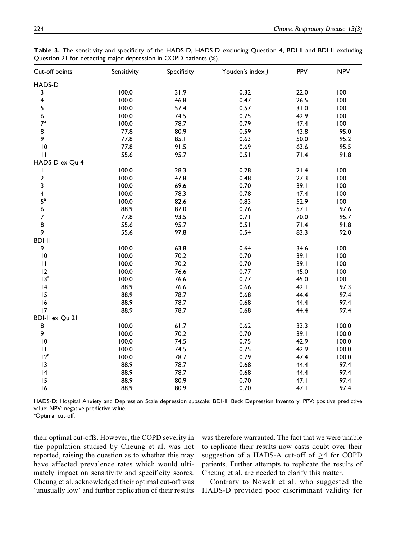| Cut-off points          | Sensitivity | Specificity | Youden's index J | <b>PPV</b> | <b>NPV</b> |
|-------------------------|-------------|-------------|------------------|------------|------------|
| HADS-D                  |             |             |                  |            |            |
| 3                       | 100.0       | 31.9        | 0.32             | 22.0       | 100        |
| $\overline{\mathbf{4}}$ | 100.0       | 46.8        | 0.47             | 26.5       | 100        |
| 5                       | 100.0       | 57.4        | 0.57             | 31.0       | 100        |
| 6                       | 100.0       | 74.5        | 0.75             | 42.9       | 100        |
| $7^{\mathrm{a}}$        | 100.0       | 78.7        | 0.79             | 47.4       | 100        |
| 8                       | 77.8        | 80.9        | 0.59             | 43.8       | 95.0       |
| 9                       | 77.8        | 85.1        | 0.63             | 50.0       | 95.2       |
| $\overline{10}$         | 77.8        | 91.5        | 0.69             | 63.6       | 95.5       |
| $\mathbf{H}$            | 55.6        | 95.7        | 0.51             | 71.4       | 91.8       |
| HADS-D ex Qu 4          |             |             |                  |            |            |
| I                       | 100.0       | 28.3        | 0.28             | 21.4       | 100        |
| $\mathbf 2$             | 100.0       | 47.8        | 0.48             | 27.3       | 100        |
| 3                       | 100.0       | 69.6        | 0.70             | 39.1       | 100        |
| $\overline{\mathbf{4}}$ | 100.0       | 78.3        | 0.78             | 47.4       | 100        |
| $5^{\mathrm{a}}$        | 100.0       | 82.6        | 0.83             | 52.9       | 100        |
| 6                       | 88.9        | 87.0        | 0.76             | 57.1       | 97.6       |
| $\overline{7}$          | 77.8        | 93.5        | 0.71             | 70.0       | 95.7       |
| 8                       | 55.6        | 95.7        | 0.51             | 71.4       | 91.8       |
| 9                       | 55.6        | 97.8        | 0.54             | 83.3       | 92.0       |
| <b>BDI-II</b>           |             |             |                  |            |            |
| 9                       | 100.0       | 63.8        | 0.64             | 34.6       | 100        |
| $\overline{10}$         | 100.0       | 70.2        | 0.70             | 39.1       | 100        |
| $\mathbf{H}$            | 100.0       | 70.2        | 0.70             | 39.1       | 100        |
| 12                      | 100.0       | 76.6        | 0.77             | 45.0       | 100        |
| 13 <sup>a</sup>         | 100.0       | 76.6        | 0.77             | 45.0       | 100        |
| 4                       | 88.9        | 76.6        | 0.66             | 42.1       | 97.3       |
| 15                      | 88.9        | 78.7        | 0.68             | 44.4       | 97.4       |
| 16                      | 88.9        | 78.7        | 0.68             | 44.4       | 97.4       |
| 17                      | 88.9        | 78.7        | 0.68             | 44.4       | 97.4       |
| <b>BDI-II ex Qu 21</b>  |             |             |                  |            |            |
| 8                       | 100.0       | 61.7        | 0.62             | 33.3       | 100.0      |
| 9                       | 100.0       | 70.2        | 0.70             | 39.1       | 100.0      |
| $\overline{10}$         | 100.0       | 74.5        | 0.75             | 42.9       | 100.0      |
| $\mathbf{H}$            | 100.0       | 74.5        | 0.75             | 42.9       | 100.0      |
| 12 <sup>a</sup>         | 100.0       | 78.7        | 0.79             | 47.4       | 100.0      |
| 3                       | 88.9        | 78.7        | 0.68             | 44.4       | 97.4       |
| 4                       | 88.9        | 78.7        | 0.68             | 44.4       | 97.4       |
| 15                      | 88.9        | 80.9        | 0.70             | 47.1       | 97.4       |
| 16                      | 88.9        | 80.9        | 0.70             | 47.1       | 97.4       |

Table 3. The sensitivity and specificity of the HADS-D, HADS-D excluding Question 4, BDI-II and BDI-II excluding Question 21 for detecting major depression in COPD patients (%).

HADS-D: Hospital Anxiety and Depression Scale depression subscale; BDI-II: Beck Depression Inventory; PPV: positive predictive value; NPV: negative predictive value.

<sup>a</sup>Optimal cut-off.

their optimal cut-offs. However, the COPD severity in the population studied by Cheung et al. was not reported, raising the question as to whether this may have affected prevalence rates which would ultimately impact on sensitivity and specificity scores. Cheung et al. acknowledged their optimal cut-off was 'unusually low' and further replication of their results was therefore warranted. The fact that we were unable to replicate their results now casts doubt over their suggestion of a HADS-A cut-off of  $\geq$ 4 for COPD patients. Further attempts to replicate the results of Cheung et al. are needed to clarify this matter.

Contrary to Nowak et al. who suggested the HADS-D provided poor discriminant validity for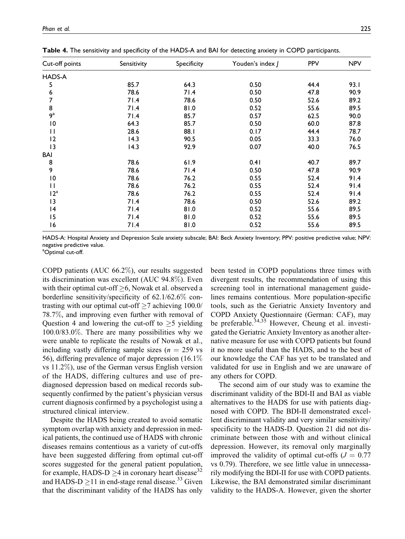| Cut-off points  | Sensitivity | Specificity | Youden's index J | PPV  | <b>NPV</b> |
|-----------------|-------------|-------------|------------------|------|------------|
| HADS-A          |             |             |                  |      |            |
| 5               | 85.7        | 64.3        | 0.50             | 44.4 | 93.I       |
| 6               | 78.6        | 71.4        | 0.50             | 47.8 | 90.9       |
| 7               | 71.4        | 78.6        | 0.50             | 52.6 | 89.2       |
| 8               | 71.4        | 81.0        | 0.52             | 55.6 | 89.5       |
| $9^{\rm a}$     | 71.4        | 85.7        | 0.57             | 62.5 | 90.0       |
| $\overline{10}$ | 64.3        | 85.7        | 0.50             | 60.0 | 87.8       |
| П               | 28.6        | 88.I        | 0.17             | 44.4 | 78.7       |
| 12              | 14.3        | 90.5        | 0.05             | 33.3 | 76.0       |
| 13              | 14.3        | 92.9        | 0.07             | 40.0 | 76.5       |
| BAI             |             |             |                  |      |            |
| 8               | 78.6        | 61.9        | 0.41             | 40.7 | 89.7       |
| 9               | 78.6        | 71.4        | 0.50             | 47.8 | 90.9       |
| $\overline{10}$ | 78.6        | 76.2        | 0.55             | 52.4 | 91.4       |
| П               | 78.6        | 76.2        | 0.55             | 52.4 | 91.4       |
| 12 <sup>a</sup> | 78.6        | 76.2        | 0.55             | 52.4 | 91.4       |
| 3               | 71.4        | 78.6        | 0.50             | 52.6 | 89.2       |
| 4               | 71.4        | 81.0        | 0.52             | 55.6 | 89.5       |
| 15              | 71.4        | 81.0        | 0.52             | 55.6 | 89.5       |
| 16              | 71.4        | 81.0        | 0.52             | 55.6 | 89.5       |

Table 4. The sensitivity and specificity of the HADS-A and BAI for detecting anxiety in COPD participants.

HADS-A: Hospital Anxiety and Depression Scale anxiety subscale; BAI: Beck Anxiety Inventory; PPV: positive predictive value; NPV: negative predictive value.

<sup>a</sup>Optimal cut-off.

COPD patients (AUC 66.2%), our results suggested its discrimination was excellent (AUC 94.8%). Even with their optimal cut-off  $\geq$ 6, Nowak et al. observed a borderline sensitivity/specificity of 62.1/62.6% contrasting with our optimal cut-off  $\geq$ 7 achieving 100.0/ 78.7%, and improving even further with removal of Question 4 and lowering the cut-off to  $\geq$ 5 yielding 100.0/83.0%. There are many possibilities why we were unable to replicate the results of Nowak et al., including vastly differing sample sizes ( $n = 259$  vs 56), differing prevalence of major depression (16.1% vs 11.2%), use of the German versus English version of the HADS, differing cultures and use of prediagnosed depression based on medical records subsequently confirmed by the patient's physician versus current diagnosis confirmed by a psychologist using a structured clinical interview.

Despite the HADS being created to avoid somatic symptom overlap with anxiety and depression in medical patients, the continued use of HADS with chronic diseases remains contentious as a variety of cut-offs have been suggested differing from optimal cut-off scores suggested for the general patient population, for example, HADS-D  $\geq$ 4 in coronary heart disease<sup>32</sup> and HADS-D  $\geq$ 11 in end-stage renal disease.<sup>33</sup> Given that the discriminant validity of the HADS has only

been tested in COPD populations three times with divergent results, the recommendation of using this screening tool in international management guidelines remains contentious. More population-specific tools, such as the Geriatric Anxiety Inventory and COPD Anxiety Questionnaire (German: CAF), may be preferable.<sup>34,35</sup> However, Cheung et al. investigated the Geriatric Anxiety Inventory as another alternative measure for use with COPD patients but found it no more useful than the HADS, and to the best of our knowledge the CAF has yet to be translated and validated for use in English and we are unaware of any others for COPD.

The second aim of our study was to examine the discriminant validity of the BDI-II and BAI as viable alternatives to the HADS for use with patients diagnosed with COPD. The BDI-II demonstrated excellent discriminant validity and very similar sensitivity/ specificity to the HADS-D. Question 21 did not discriminate between those with and without clinical depression. However, its removal only marginally improved the validity of optimal cut-offs  $(J = 0.77)$ vs 0.79). Therefore, we see little value in unnecessarily modifying the BDI-II for use with COPD patients. Likewise, the BAI demonstrated similar discriminant validity to the HADS-A. However, given the shorter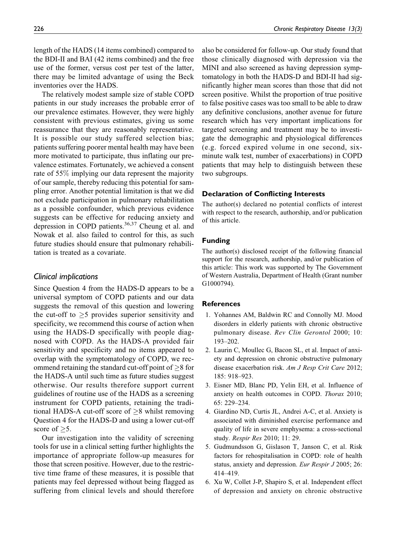length of the HADS (14 items combined) compared to the BDI-II and BAI (42 items combined) and the free use of the former, versus cost per test of the latter, there may be limited advantage of using the Beck inventories over the HADS.

The relatively modest sample size of stable COPD patients in our study increases the probable error of our prevalence estimates. However, they were highly consistent with previous estimates, giving us some reassurance that they are reasonably representative. It is possible our study suffered selection bias; patients suffering poorer mental health may have been more motivated to participate, thus inflating our prevalence estimates. Fortunately, we achieved a consent rate of 55% implying our data represent the majority of our sample, thereby reducing this potential for sampling error. Another potential limitation is that we did not exclude participation in pulmonary rehabilitation as a possible confounder, which previous evidence suggests can be effective for reducing anxiety and depression in COPD patients.<sup>36,37</sup> Cheung et al. and Nowak et al. also failed to control for this, as such future studies should ensure that pulmonary rehabilitation is treated as a covariate.

## Clinical implications

Since Question 4 from the HADS-D appears to be a universal symptom of COPD patients and our data suggests the removal of this question and lowering the cut-off to  $\geq$ 5 provides superior sensitivity and specificity, we recommend this course of action when using the HADS-D specifically with people diagnosed with COPD. As the HADS-A provided fair sensitivity and specificity and no items appeared to overlap with the symptomatology of COPD, we recommend retaining the standard cut-off point of  $\geq$ 8 for the HADS-A until such time as future studies suggest otherwise. Our results therefore support current guidelines of routine use of the HADS as a screening instrument for COPD patients, retaining the traditional HADS-A cut-off score of  $\geq$ 8 whilst removing Question 4 for the HADS-D and using a lower cut-off score of  $\geq 5$ .

Our investigation into the validity of screening tools for use in a clinical setting further highlights the importance of appropriate follow-up measures for those that screen positive. However, due to the restrictive time frame of these measures, it is possible that patients may feel depressed without being flagged as suffering from clinical levels and should therefore

also be considered for follow-up. Our study found that those clinically diagnosed with depression via the MINI and also screened as having depression symptomatology in both the HADS-D and BDI-II had significantly higher mean scores than those that did not screen positive. Whilst the proportion of true positive to false positive cases was too small to be able to draw any definitive conclusions, another avenue for future research which has very important implications for targeted screening and treatment may be to investigate the demographic and physiological differences (e.g. forced expired volume in one second, sixminute walk test, number of exacerbations) in COPD patients that may help to distinguish between these two subgroups.

#### Declaration of Conflicting Interests

The author(s) declared no potential conflicts of interest with respect to the research, authorship, and/or publication of this article.

#### Funding

The author(s) disclosed receipt of the following financial support for the research, authorship, and/or publication of this article: This work was supported by The Government of Western Australia, Department of Health (Grant number G1000794).

#### **References**

- 1. Yohannes AM, Baldwin RC and Connolly MJ. Mood disorders in elderly patients with chronic obstructive pulmonary disease. Rev Clin Gerontol 2000; 10: 193–202.
- 2. Laurin C, Moullec G, Bacon SL, et al. Impact of anxiety and depression on chronic obstructive pulmonary disease exacerbation risk. Am J Resp Crit Care 2012; 185: 918–923.
- 3. Eisner MD, Blanc PD, Yelin EH, et al. Influence of anxiety on health outcomes in COPD. Thorax 2010; 65: 229–234.
- 4. Giardino ND, Curtis JL, Andrei A-C, et al. Anxiety is associated with diminished exercise performance and quality of life in severe emphysema: a cross-sectional study. Respir Res 2010; 11: 29.
- 5. Gudmundsson G, Gislason T, Janson C, et al. Risk factors for rehospitalisation in COPD: role of health status, anxiety and depression. Eur Respir J 2005; 26: 414–419.
- 6. Xu W, Collet J-P, Shapiro S, et al. Independent effect of depression and anxiety on chronic obstructive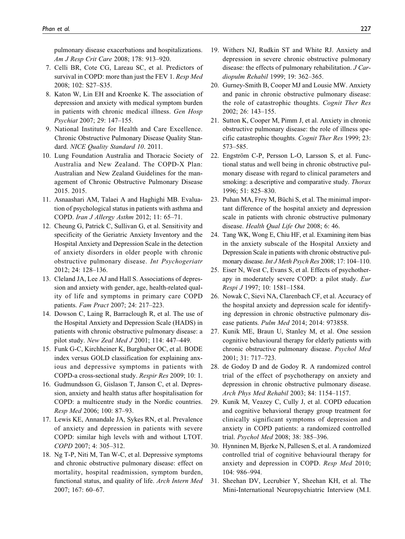pulmonary disease exacerbations and hospitalizations. Am J Resp Crit Care 2008; 178: 913–920.

- 7. Celli BR, Cote CG, Lareau SC, et al. Predictors of survival in COPD: more than just the FEV 1. Resp Med 2008; 102: S27–S35.
- 8. Katon W, Lin EH and Kroenke K. The association of depression and anxiety with medical symptom burden in patients with chronic medical illness. Gen Hosp Psychiat 2007; 29: 147–155.
- 9. National Institute for Health and Care Excellence. Chronic Obstructive Pulmonary Disease Quality Standard. NICE Quality Standard 10. 2011.
- 10. Lung Foundation Australia and Thoracic Society of Australia and New Zealand. The COPD-X Plan: Australian and New Zealand Guidelines for the management of Chronic Obstructive Pulmonary Disease 2015. 2015.
- 11. Asnaashari AM, Talaei A and Haghighi MB. Evaluation of psychological status in patients with asthma and COPD. Iran J Allergy Asthm 2012; 11: 65–71.
- 12. Cheung G, Patrick C, Sullivan G, et al. Sensitivity and specificity of the Geriatric Anxiety Inventory and the Hospital Anxiety and Depression Scale in the detection of anxiety disorders in older people with chronic obstructive pulmonary disease. Int Psychogeriatr 2012; 24: 128–136.
- 13. Cleland JA, Lee AJ and Hall S. Associations of depression and anxiety with gender, age, health-related quality of life and symptoms in primary care COPD patients. Fam Pract 2007; 24: 217–223.
- 14. Dowson C, Laing R, Barraclough R, et al. The use of the Hospital Anxiety and Depression Scale (HADS) in patients with chronic obstructive pulmonary disease: a pilot study. New Zeal Med J 2001; 114: 447–449.
- 15. Funk G-C, Kirchheiner K, Burghuber OC, et al. BODE index versus GOLD classification for explaining anxious and depressive symptoms in patients with COPD-a cross-sectional study. Respir Res 2009; 10: 1.
- 16. Gudmundsson G, Gislason T, Janson C, et al. Depression, anxiety and health status after hospitalisation for COPD: a multicentre study in the Nordic countries. Resp Med 2006; 100: 87–93.
- 17. Lewis KE, Annandale JA, Sykes RN, et al. Prevalence of anxiety and depression in patients with severe COPD: similar high levels with and without LTOT. COPD 2007; 4: 305–312.
- 18. Ng T-P, Niti M, Tan W-C, et al. Depressive symptoms and chronic obstructive pulmonary disease: effect on mortality, hospital readmission, symptom burden, functional status, and quality of life. Arch Intern Med 2007; 167: 60–67.
- 19. Withers NJ, Rudkin ST and White RJ. Anxiety and depression in severe chronic obstructive pulmonary disease: the effects of pulmonary rehabilitation. J Cardiopulm Rehabil 1999; 19: 362–365.
- 20. Gurney-Smith B, Cooper MJ and Lousie MW. Anxiety and panic in chronic obstructive pulmonary disease: the role of catastrophic thoughts. Cognit Ther Res 2002; 26: 143–155.
- 21. Sutton K, Cooper M, Pimm J, et al. Anxiety in chronic obstructive pulmonary disease: the role of illness specific catastrophic thoughts. Cognit Ther Res 1999; 23: 573–585.
- 22. Engström C-P, Persson L-O, Larsson S, et al. Functional status and well being in chronic obstructive pulmonary disease with regard to clinical parameters and smoking: a descriptive and comparative study. Thorax 1996; 51: 825–830.
- 23. Puhan MA, Frey M, Büchi S, et al. The minimal important difference of the hospital anxiety and depression scale in patients with chronic obstructive pulmonary disease. Health Qual Life Out 2008; 6: 46.
- 24. Tang WK, Wong E, Chiu HF, et al. Examining item bias in the anxiety subscale of the Hospital Anxiety and Depression Scale in patients with chronic obstructive pulmonary disease. Int J Meth Psych Res 2008; 17: 104-110.
- 25. Eiser N, West C, Evans S, et al. Effects of psychotherapy in moderately severe COPD: a pilot study. Eur Respi J 1997; 10: 1581–1584.
- 26. Nowak C, Sievi NA, Clarenbach CF, et al. Accuracy of the hospital anxiety and depression scale for identifying depression in chronic obstructive pulmonary disease patients. Pulm Med 2014; 2014: 973858.
- 27. Kunik ME, Braun U, Stanley M, et al. One session cognitive behavioural therapy for elderly patients with chronic obstructive pulmonary disease. Psychol Med 2001; 31: 717–723.
- 28. de Godoy D and de Godoy R. A randomized control trial of the effect of psychotherapy on anxiety and depression in chronic obstructive pulmonary disease. Arch Phys Med Rehabil 2003; 84: 1154–1157.
- 29. Kunik M, Veazey C, Cully J, et al. COPD education and cognitive behavioral therapy group treatment for clinically significant symptoms of depression and anxiety in COPD patients: a randomized controlled trial. Psychol Med 2008; 38: 385–396.
- 30. Hynninen M, Bjerke N, Pallesen S, et al. A randomized controlled trial of cognitive behavioural therapy for anxiety and depression in COPD. Resp Med 2010; 104: 986–994.
- 31. Sheehan DV, Lecrubier Y, Sheehan KH, et al. The Mini-International Neuropsychiatric Interview (M.I.